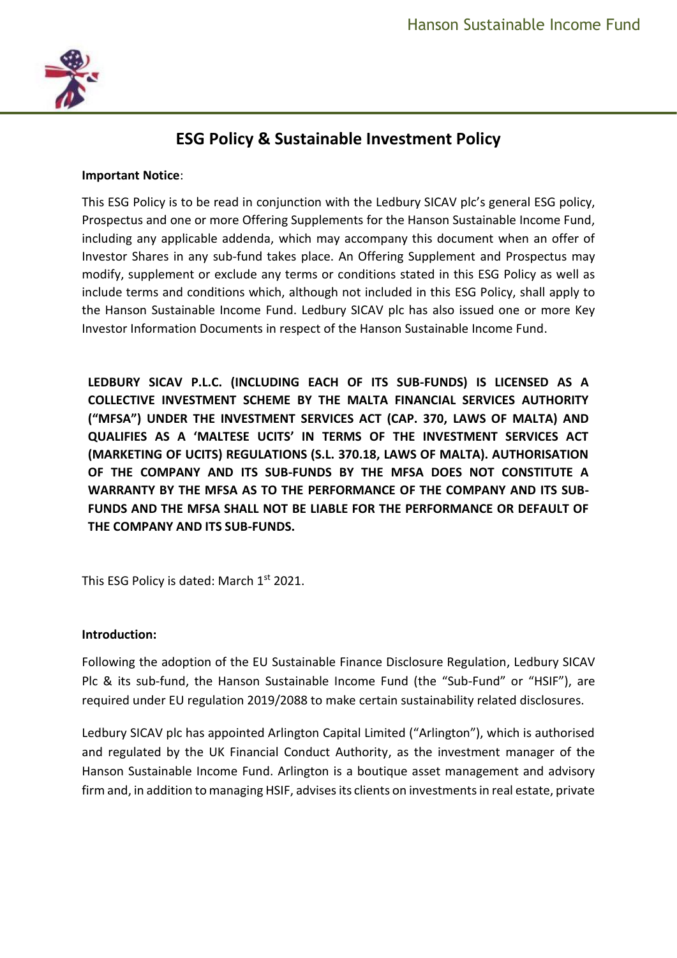

# **ESG Policy & Sustainable Investment Policy**

#### **Important Notice**:

This ESG Policy is to be read in conjunction with the Ledbury SICAV plc's general ESG policy, Prospectus and one or more Offering Supplements for the Hanson Sustainable Income Fund, including any applicable addenda, which may accompany this document when an offer of Investor Shares in any sub-fund takes place. An Offering Supplement and Prospectus may modify, supplement or exclude any terms or conditions stated in this ESG Policy as well as include terms and conditions which, although not included in this ESG Policy, shall apply to the Hanson Sustainable Income Fund. Ledbury SICAV plc has also issued one or more Key Investor Information Documents in respect of the Hanson Sustainable Income Fund.

**LEDBURY SICAV P.L.C. (INCLUDING EACH OF ITS SUB-FUNDS) IS LICENSED AS A COLLECTIVE INVESTMENT SCHEME BY THE MALTA FINANCIAL SERVICES AUTHORITY ("MFSA") UNDER THE INVESTMENT SERVICES ACT (CAP. 370, LAWS OF MALTA) AND QUALIFIES AS A 'MALTESE UCITS' IN TERMS OF THE INVESTMENT SERVICES ACT (MARKETING OF UCITS) REGULATIONS (S.L. 370.18, LAWS OF MALTA). AUTHORISATION OF THE COMPANY AND ITS SUB-FUNDS BY THE MFSA DOES NOT CONSTITUTE A WARRANTY BY THE MFSA AS TO THE PERFORMANCE OF THE COMPANY AND ITS SUB-FUNDS AND THE MFSA SHALL NOT BE LIABLE FOR THE PERFORMANCE OR DEFAULT OF THE COMPANY AND ITS SUB-FUNDS.**

This ESG Policy is dated: March 1st 2021.

#### **Introduction:**

Following the adoption of the EU Sustainable Finance Disclosure Regulation, Ledbury SICAV Plc & its sub-fund, the Hanson Sustainable Income Fund (the "Sub-Fund" or "HSIF"), are required under EU regulation 2019/2088 to make certain sustainability related disclosures.

Ledbury SICAV plc has appointed Arlington Capital Limited ("Arlington"), which is authorised and regulated by the UK Financial Conduct Authority, as the investment manager of the Hanson Sustainable Income Fund. Arlington is a boutique asset management and advisory firm and, in addition to managing HSIF, advises its clients on investments in real estate, private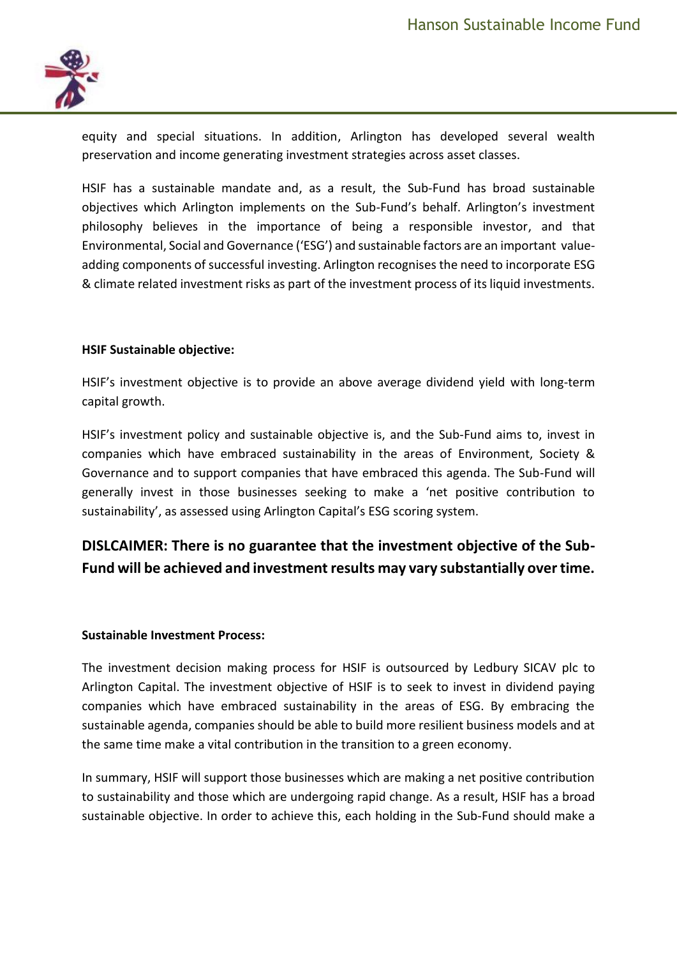

equity and special situations. In addition, Arlington has developed several wealth preservation and income generating investment strategies across asset classes.

HSIF has a sustainable mandate and, as a result, the Sub-Fund has broad sustainable objectives which Arlington implements on the Sub-Fund's behalf. Arlington's investment philosophy believes in the importance of being a responsible investor, and that Environmental, Social and Governance ('ESG') and sustainable factors are an important valueadding components of successful investing. Arlington recognises the need to incorporate ESG & climate related investment risks as part of the investment process of its liquid investments.

### **HSIF Sustainable objective:**

HSIF's investment objective is to provide an above average dividend yield with long-term capital growth.

HSIF's investment policy and sustainable objective is, and the Sub-Fund aims to, invest in companies which have embraced sustainability in the areas of Environment, Society & Governance and to support companies that have embraced this agenda. The Sub-Fund will generally invest in those businesses seeking to make a 'net positive contribution to sustainability', as assessed using Arlington Capital's ESG scoring system.

## **DISLCAIMER: There is no guarantee that the investment objective of the Sub-Fund will be achieved and investment results may vary substantially over time.**

#### **Sustainable Investment Process:**

The investment decision making process for HSIF is outsourced by Ledbury SICAV plc to Arlington Capital. The investment objective of HSIF is to seek to invest in dividend paying companies which have embraced sustainability in the areas of ESG. By embracing the sustainable agenda, companies should be able to build more resilient business models and at the same time make a vital contribution in the transition to a green economy.

In summary, HSIF will support those businesses which are making a net positive contribution to sustainability and those which are undergoing rapid change. As a result, HSIF has a broad sustainable objective. In order to achieve this, each holding in the Sub-Fund should make a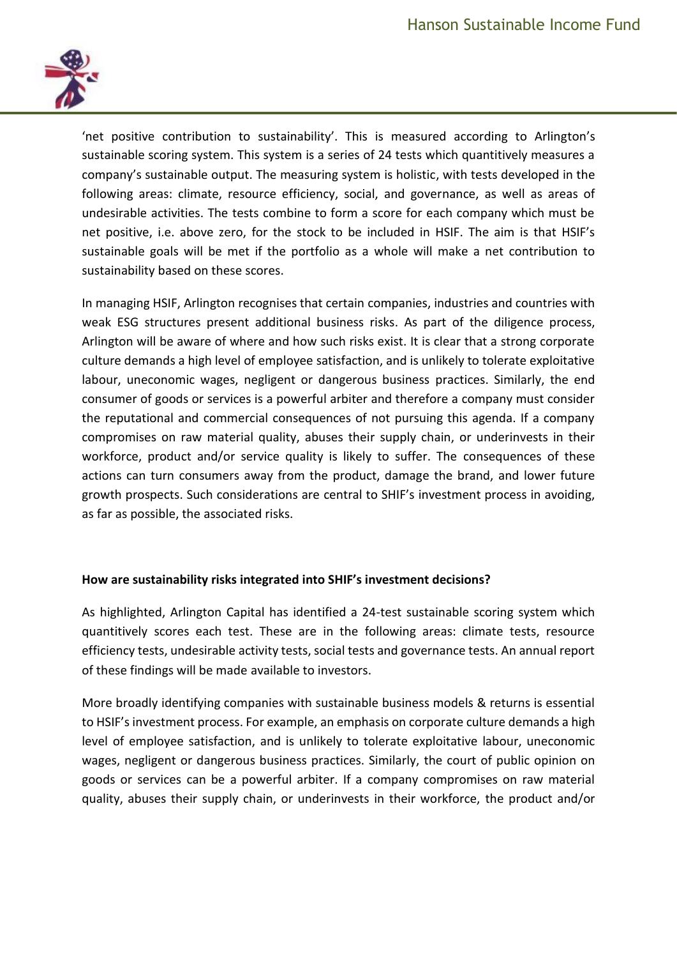

'net positive contribution to sustainability'. This is measured according to Arlington's sustainable scoring system. This system is a series of 24 tests which quantitively measures a company's sustainable output. The measuring system is holistic, with tests developed in the following areas: climate, resource efficiency, social, and governance, as well as areas of undesirable activities. The tests combine to form a score for each company which must be net positive, i.e. above zero, for the stock to be included in HSIF. The aim is that HSIF's sustainable goals will be met if the portfolio as a whole will make a net contribution to sustainability based on these scores.

In managing HSIF, Arlington recognises that certain companies, industries and countries with weak ESG structures present additional business risks. As part of the diligence process, Arlington will be aware of where and how such risks exist. It is clear that a strong corporate culture demands a high level of employee satisfaction, and is unlikely to tolerate exploitative labour, uneconomic wages, negligent or dangerous business practices. Similarly, the end consumer of goods or services is a powerful arbiter and therefore a company must consider the reputational and commercial consequences of not pursuing this agenda. If a company compromises on raw material quality, abuses their supply chain, or underinvests in their workforce, product and/or service quality is likely to suffer. The consequences of these actions can turn consumers away from the product, damage the brand, and lower future growth prospects. Such considerations are central to SHIF's investment process in avoiding, as far as possible, the associated risks.

## **How are sustainability risks integrated into SHIF's investment decisions?**

As highlighted, Arlington Capital has identified a 24-test sustainable scoring system which quantitively scores each test. These are in the following areas: climate tests, resource efficiency tests, undesirable activity tests, social tests and governance tests. An annual report of these findings will be made available to investors.

More broadly identifying companies with sustainable business models & returns is essential to HSIF's investment process. For example, an emphasis on corporate culture demands a high level of employee satisfaction, and is unlikely to tolerate exploitative labour, uneconomic wages, negligent or dangerous business practices. Similarly, the court of public opinion on goods or services can be a powerful arbiter. If a company compromises on raw material quality, abuses their supply chain, or underinvests in their workforce, the product and/or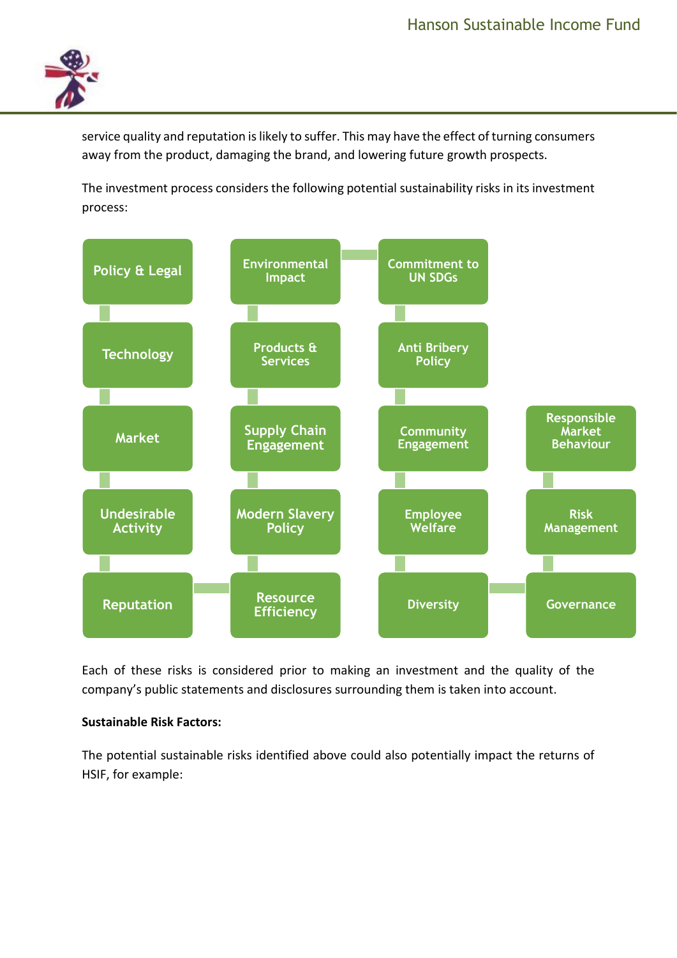

service quality and reputation is likely to suffer. This may have the effect of turning consumers away from the product, damaging the brand, and lowering future growth prospects.

The investment process considers the following potential sustainability risks in its investment process:



Each of these risks is considered prior to making an investment and the quality of the company's public statements and disclosures surrounding them is taken into account.

## **Sustainable Risk Factors:**

The potential sustainable risks identified above could also potentially impact the returns of HSIF, for example: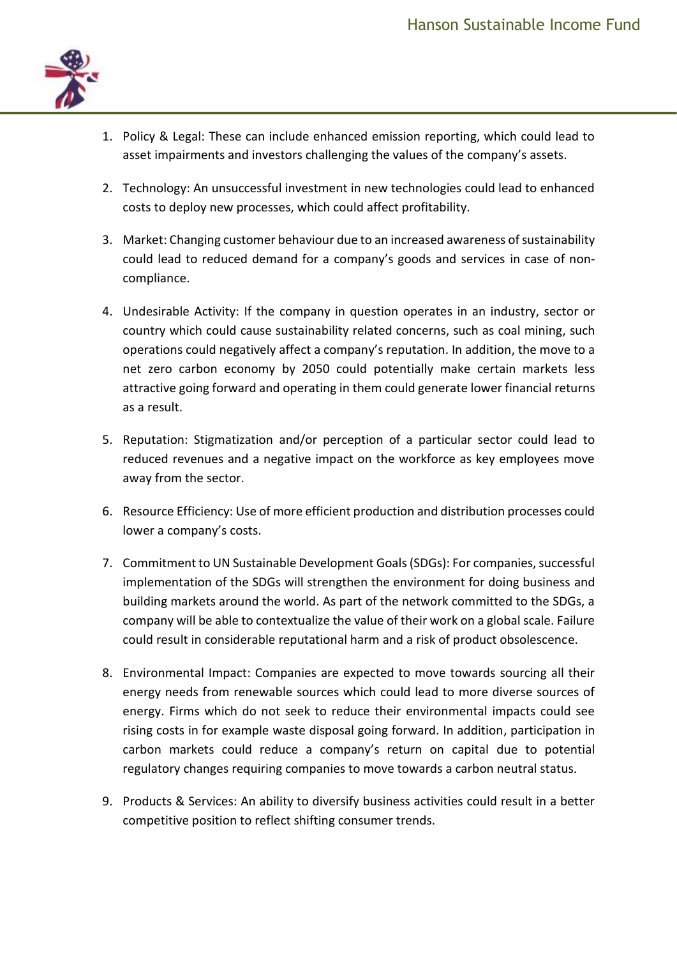

- 1. Policy & Legal: These can include enhanced emission reporting, which could lead to asset impairments and investors challenging the values of the company's assets.
- 2. Technology: An unsuccessful investment in new technologies could lead to enhanced costs to deploy new processes, which could affect profitability.
- 3. Market: Changing customer behaviour due to an increased awareness of sustainability could lead to reduced demand for a company's goods and services in case of noncompliance.
- 4. Undesirable Activity: If the company in question operates in an industry, sector or country which could cause sustainability related concerns, such as coal mining, such operations could negatively affect a company's reputation. In addition, the move to a net zero carbon economy by 2050 could potentially make certain markets less attractive going forward and operating in them could generate lower financial returns as a result.
- 5. Reputation: Stigmatization and/or perception of a particular sector could lead to reduced revenues and a negative impact on the workforce as key employees move away from the sector.
- 6. Resource Efficiency: Use of more efficient production and distribution processes could lower a company's costs.
- 7. Commitment to UN Sustainable Development Goals (SDGs): For companies, successful implementation of the SDGs will strengthen the environment for doing business and building markets around the world. As part of the network committed to the SDGs, a company will be able to contextualize the value of their work on a global scale. Failure could result in considerable reputational harm and a risk of product obsolescence.
- 8. Environmental Impact: Companies are expected to move towards sourcing all their energy needs from renewable sources which could lead to more diverse sources of energy. Firms which do not seek to reduce their environmental impacts could see rising costs in for example waste disposal going forward. In addition, participation in carbon markets could reduce a company's return on capital due to potential regulatory changes requiring companies to move towards a carbon neutral status.
- 9. Products & Services: An ability to diversify business activities could result in a better competitive position to reflect shifting consumer trends.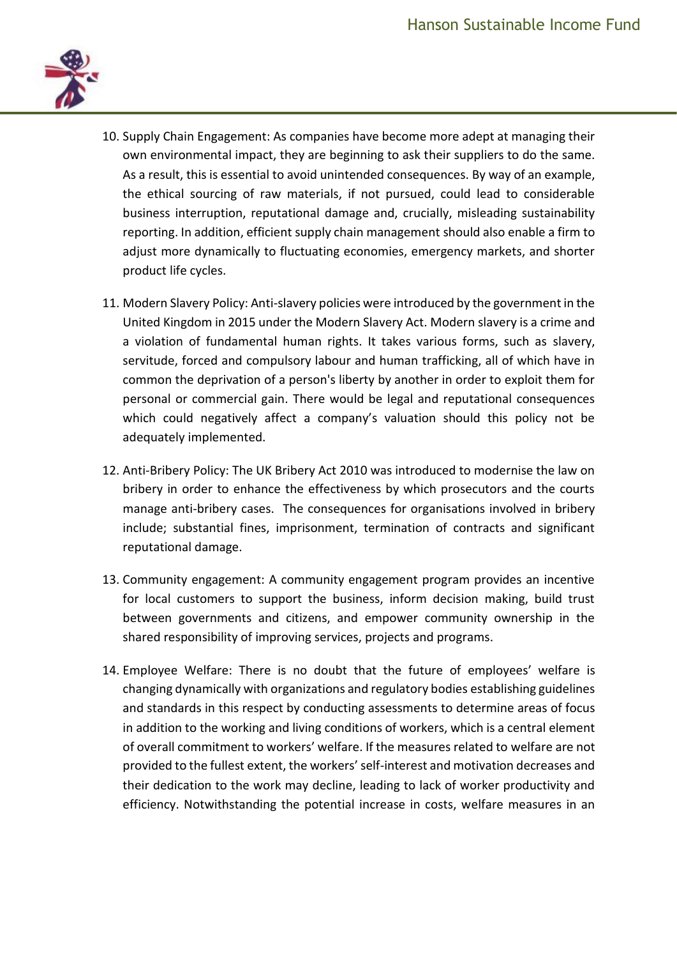

- 10. Supply Chain Engagement: As companies have become more adept at managing their own environmental impact, they are beginning to ask their suppliers to do the same. As a result, this is essential to avoid unintended consequences. By way of an example, the ethical sourcing of raw materials, if not pursued, could lead to considerable business interruption, reputational damage and, crucially, misleading sustainability reporting. In addition, efficient supply chain management should also enable a firm to adjust more dynamically to fluctuating economies, emergency markets, and shorter product life cycles.
- 11. Modern Slavery Policy: Anti-slavery policies were introduced by the government in the United Kingdom in 2015 under the Modern Slavery Act. Modern slavery is a crime and a violation of fundamental human rights. It takes various forms, such as slavery, servitude, forced and compulsory labour and human trafficking, all of which have in common the deprivation of a person's liberty by another in order to exploit them for personal or commercial gain. There would be legal and reputational consequences which could negatively affect a company's valuation should this policy not be adequately implemented.
- 12. Anti-Bribery Policy: The UK Bribery Act 2010 was introduced to modernise the law on bribery in order to enhance the effectiveness by which prosecutors and the courts manage anti-bribery cases. The consequences for organisations involved in bribery include; substantial fines, imprisonment, termination of contracts and significant reputational damage.
- 13. Community engagement: A community engagement program provides an incentive for local customers to support the business, inform decision making, build trust between governments and citizens, and empower community ownership in the shared responsibility of improving services, projects and programs.
- 14. Employee Welfare: There is no doubt that the future of employees' welfare is changing dynamically with organizations and regulatory bodies establishing guidelines and standards in this respect by conducting assessments to determine areas of focus in addition to the working and living conditions of workers, which is a central element of overall commitment to workers' welfare. If the measures related to welfare are not provided to the fullest extent, the workers' self-interest and motivation decreases and their dedication to the work may decline, leading to lack of worker productivity and efficiency. Notwithstanding the potential increase in costs, welfare measures in an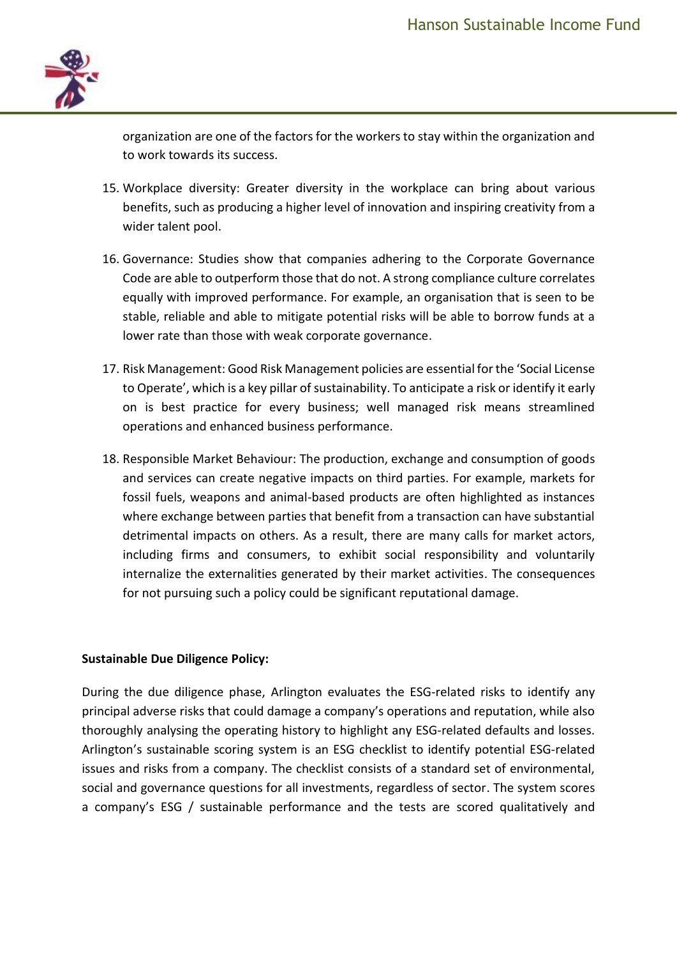

organization are one of the factors for the workers to stay within the organization and to work towards its success.

- 15. Workplace diversity: Greater diversity in the workplace can bring about various benefits, such as producing a higher level of innovation and inspiring creativity from a wider talent pool.
- 16. Governance: Studies show that companies adhering to the Corporate Governance Code are able to outperform those that do not. A strong compliance culture correlates equally with improved performance. For example, an organisation that is seen to be stable, reliable and able to mitigate potential risks will be able to borrow funds at a lower rate than those with weak corporate governance.
- 17. Risk Management: Good Risk Management policies are essential for the 'Social License to Operate', which is a key pillar of sustainability. To anticipate a risk or identify it early on is best practice for every business; well managed risk means streamlined operations and enhanced business performance.
- 18. Responsible Market Behaviour: The production, exchange and consumption of goods and services can create negative impacts on third parties. For example, markets for fossil fuels, weapons and animal-based products are often highlighted as instances where exchange between parties that benefit from a transaction can have substantial detrimental impacts on others. As a result, there are many calls for market actors, including firms and consumers, to exhibit social responsibility and voluntarily internalize the externalities generated by their market activities. The consequences for not pursuing such a policy could be significant reputational damage.

## **Sustainable Due Diligence Policy:**

During the due diligence phase, Arlington evaluates the ESG-related risks to identify any principal adverse risks that could damage a company's operations and reputation, while also thoroughly analysing the operating history to highlight any ESG-related defaults and losses. Arlington's sustainable scoring system is an ESG checklist to identify potential ESG-related issues and risks from a company. The checklist consists of a standard set of environmental, social and governance questions for all investments, regardless of sector. The system scores a company's ESG / sustainable performance and the tests are scored qualitatively and